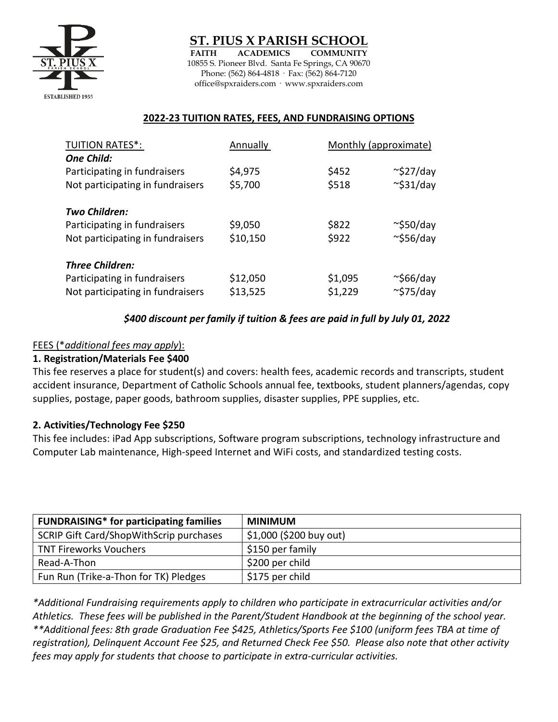

ST. PIUS X PARISH SC

**FAITH ACADEMICS COMMUNITY**  10855 S. Pioneer Blvd. Santa Fe Springs, CA 90670 Phone: (562) 864-4818 · Fax: (562) 864-7120 office@spxraiders.com · www.spxraiders.com

## **2022-23 TUITION RATES, FEES, AND FUNDRAISING OPTIONS**

| <b>TUITION RATES*:</b>           | Annually | Monthly (approximate) |                 |
|----------------------------------|----------|-----------------------|-----------------|
| <b>One Child:</b>                |          |                       |                 |
| Participating in fundraisers     | \$4,975  | \$452                 | $\sim$ \$27/day |
| Not participating in fundraisers | \$5,700  | \$518                 | $\sim$ \$31/day |
| Two Children:                    |          |                       |                 |
| Participating in fundraisers     | \$9,050  | \$822                 | $\sim$ \$50/day |
| Not participating in fundraisers | \$10,150 | \$922                 | $\sim$ \$56/day |
| <b>Three Children:</b>           |          |                       |                 |
| Participating in fundraisers     | \$12,050 | \$1,095               | $\sim$ \$66/day |
| Not participating in fundraisers | \$13,525 | \$1,229               | $\sim$ \$75/day |

# *\$400 discount per family if tuition & fees are paid in full by July 01, 2022*

### FEES (\**additional fees may apply*):

### **1. Registration/Materials Fee \$400**

This fee reserves a place for student(s) and covers: health fees, academic records and transcripts, student accident insurance, Department of Catholic Schools annual fee, textbooks, student planners/agendas, copy supplies, postage, paper goods, bathroom supplies, disaster supplies, PPE supplies, etc.

### **2. Activities/Technology Fee \$250**

This fee includes: iPad App subscriptions, Software program subscriptions, technology infrastructure and Computer Lab maintenance, High-speed Internet and WiFi costs, and standardized testing costs.

| <b>FUNDRAISING*</b> for participating families | MINIMUM                 |
|------------------------------------------------|-------------------------|
| SCRIP Gift Card/ShopWithScrip purchases        | \$1,000 (\$200 buy out) |
| <b>TNT Fireworks Vouchers</b>                  | \$150 per family        |
| Read-A-Thon                                    | \$200 per child         |
| Fun Run (Trike-a-Thon for TK) Pledges          | \$175 per child         |

*\*Additional Fundraising requirements apply to children who participate in extracurricular activities and/or Athletics. These fees will be published in the Parent/Student Handbook at the beginning of the school year. \*\*Additional fees: 8th grade Graduation Fee \$425, Athletics/Sports Fee \$100 (uniform fees TBA at time of registration), Delinquent Account Fee \$25, and Returned Check Fee \$50. Please also note that other activity fees may apply for students that choose to participate in extra-curricular activities.*